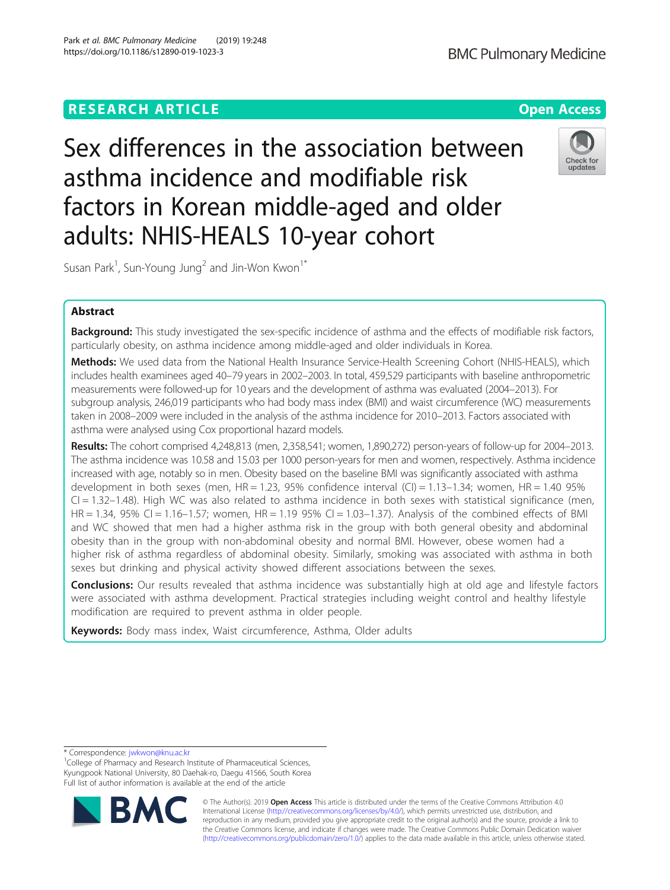# **RESEARCH ARTICLE Example 2014 12:30 The Contract of Contract ACCESS**

Sex differences in the association between asthma incidence and modifiable risk factors in Korean middle-aged and older adults: NHIS-HEALS 10-year cohort

Susan Park<sup>1</sup>, Sun-Young Jung<sup>2</sup> and Jin-Won Kwon<sup>1\*</sup>

# Abstract

Background: This study investigated the sex-specific incidence of asthma and the effects of modifiable risk factors, particularly obesity, on asthma incidence among middle-aged and older individuals in Korea.

Methods: We used data from the National Health Insurance Service-Health Screening Cohort (NHIS-HEALS), which includes health examinees aged 40–79 years in 2002–2003. In total, 459,529 participants with baseline anthropometric measurements were followed-up for 10 years and the development of asthma was evaluated (2004–2013). For subgroup analysis, 246,019 participants who had body mass index (BMI) and waist circumference (WC) measurements taken in 2008–2009 were included in the analysis of the asthma incidence for 2010–2013. Factors associated with asthma were analysed using Cox proportional hazard models.

Results: The cohort comprised 4,248,813 (men, 2,358,541; women, 1,890,272) person-years of follow-up for 2004–2013. The asthma incidence was 10.58 and 15.03 per 1000 person-years for men and women, respectively. Asthma incidence increased with age, notably so in men. Obesity based on the baseline BMI was significantly associated with asthma development in both sexes (men,  $HR = 1.23$ , 95% confidence interval (CI) =  $1.13-1.34$ ; women,  $HR = 1.40$  95%  $Cl = 1.32-1.48$ ). High WC was also related to asthma incidence in both sexes with statistical significance (men, HR = 1.34, 95% CI = 1.16-1.57; women, HR = 1.19 95% CI = 1.03-1.37). Analysis of the combined effects of BMI and WC showed that men had a higher asthma risk in the group with both general obesity and abdominal obesity than in the group with non-abdominal obesity and normal BMI. However, obese women had a higher risk of asthma regardless of abdominal obesity. Similarly, smoking was associated with asthma in both sexes but drinking and physical activity showed different associations between the sexes.

Conclusions: Our results revealed that asthma incidence was substantially high at old age and lifestyle factors were associated with asthma development. Practical strategies including weight control and healthy lifestyle modification are required to prevent asthma in older people.

Keywords: Body mass index, Waist circumference, Asthma, Older adults

\* Correspondence: [jwkwon@knu.ac.kr](mailto:jwkwon@knu.ac.kr) <sup>1</sup>

**RM** 

<sup>1</sup>College of Pharmacy and Research Institute of Pharmaceutical Sciences, Kyungpook National University, 80 Daehak-ro, Daegu 41566, South Korea Full list of author information is available at the end of the article



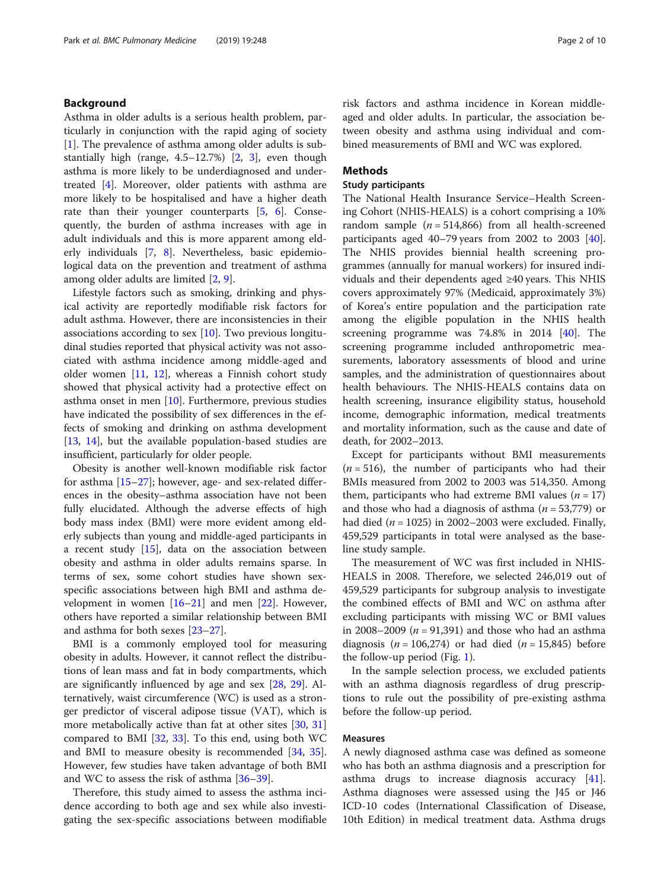# Background

Asthma in older adults is a serious health problem, particularly in conjunction with the rapid aging of society [[1\]](#page-8-0). The prevalence of asthma among older adults is substantially high (range, 4.5–12.7%) [\[2,](#page-8-0) [3](#page-8-0)], even though asthma is more likely to be underdiagnosed and undertreated [[4\]](#page-8-0). Moreover, older patients with asthma are more likely to be hospitalised and have a higher death rate than their younger counterparts [\[5,](#page-8-0) [6\]](#page-8-0). Consequently, the burden of asthma increases with age in adult individuals and this is more apparent among elderly individuals [[7,](#page-8-0) [8](#page-8-0)]. Nevertheless, basic epidemiological data on the prevention and treatment of asthma among older adults are limited [[2,](#page-8-0) [9\]](#page-8-0).

Lifestyle factors such as smoking, drinking and physical activity are reportedly modifiable risk factors for adult asthma. However, there are inconsistencies in their associations according to sex [\[10\]](#page-8-0). Two previous longitudinal studies reported that physical activity was not associated with asthma incidence among middle-aged and older women [[11,](#page-8-0) [12](#page-8-0)], whereas a Finnish cohort study showed that physical activity had a protective effect on asthma onset in men [\[10](#page-8-0)]. Furthermore, previous studies have indicated the possibility of sex differences in the effects of smoking and drinking on asthma development [[13,](#page-8-0) [14](#page-8-0)], but the available population-based studies are insufficient, particularly for older people.

Obesity is another well-known modifiable risk factor for asthma  $[15–27]$  $[15–27]$  $[15–27]$  $[15–27]$  $[15–27]$ ; however, age- and sex-related differences in the obesity–asthma association have not been fully elucidated. Although the adverse effects of high body mass index (BMI) were more evident among elderly subjects than young and middle-aged participants in a recent study  $[15]$  $[15]$ , data on the association between obesity and asthma in older adults remains sparse. In terms of sex, some cohort studies have shown sexspecific associations between high BMI and asthma development in women  $[16–21]$  $[16–21]$  $[16–21]$  and men  $[22]$  $[22]$ . However, others have reported a similar relationship between BMI and asthma for both sexes [\[23](#page-8-0)–[27\]](#page-8-0).

BMI is a commonly employed tool for measuring obesity in adults. However, it cannot reflect the distributions of lean mass and fat in body compartments, which are significantly influenced by age and sex [\[28](#page-8-0), [29](#page-9-0)]. Alternatively, waist circumference (WC) is used as a stronger predictor of visceral adipose tissue (VAT), which is more metabolically active than fat at other sites [\[30,](#page-9-0) [31](#page-9-0)] compared to BMI  $[32, 33]$  $[32, 33]$  $[32, 33]$  $[32, 33]$  $[32, 33]$ . To this end, using both WC and BMI to measure obesity is recommended [\[34,](#page-9-0) [35](#page-9-0)]. However, few studies have taken advantage of both BMI and WC to assess the risk of asthma [\[36](#page-9-0)–[39\]](#page-9-0).

Therefore, this study aimed to assess the asthma incidence according to both age and sex while also investigating the sex-specific associations between modifiable

risk factors and asthma incidence in Korean middleaged and older adults. In particular, the association between obesity and asthma using individual and combined measurements of BMI and WC was explored.

# Methods

# Study participants

The National Health Insurance Service–Health Screening Cohort (NHIS-HEALS) is a cohort comprising a 10% random sample  $(n = 514,866)$  from all health-screened participants aged 40–79 years from 2002 to 2003 [\[40](#page-9-0)]. The NHIS provides biennial health screening programmes (annually for manual workers) for insured individuals and their dependents aged ≥40 years. This NHIS covers approximately 97% (Medicaid, approximately 3%) of Korea's entire population and the participation rate among the eligible population in the NHIS health screening programme was 74.8% in 2014 [[40](#page-9-0)]. The screening programme included anthropometric measurements, laboratory assessments of blood and urine samples, and the administration of questionnaires about health behaviours. The NHIS-HEALS contains data on health screening, insurance eligibility status, household income, demographic information, medical treatments and mortality information, such as the cause and date of death, for 2002–2013.

Except for participants without BMI measurements  $(n = 516)$ , the number of participants who had their BMIs measured from 2002 to 2003 was 514,350. Among them, participants who had extreme BMI values  $(n = 17)$ and those who had a diagnosis of asthma ( $n = 53,779$ ) or had died ( $n = 1025$ ) in 2002–2003 were excluded. Finally, 459,529 participants in total were analysed as the baseline study sample.

The measurement of WC was first included in NHIS-HEALS in 2008. Therefore, we selected 246,019 out of 459,529 participants for subgroup analysis to investigate the combined effects of BMI and WC on asthma after excluding participants with missing WC or BMI values in 2008–2009 ( $n = 91,391$ ) and those who had an asthma diagnosis ( $n = 106,274$ ) or had died ( $n = 15,845$ ) before the follow-up period (Fig. [1](#page-2-0)).

In the sample selection process, we excluded patients with an asthma diagnosis regardless of drug prescriptions to rule out the possibility of pre-existing asthma before the follow-up period.

## Measures

A newly diagnosed asthma case was defined as someone who has both an asthma diagnosis and a prescription for asthma drugs to increase diagnosis accuracy [\[41](#page-9-0)]. Asthma diagnoses were assessed using the J45 or J46 ICD-10 codes (International Classification of Disease, 10th Edition) in medical treatment data. Asthma drugs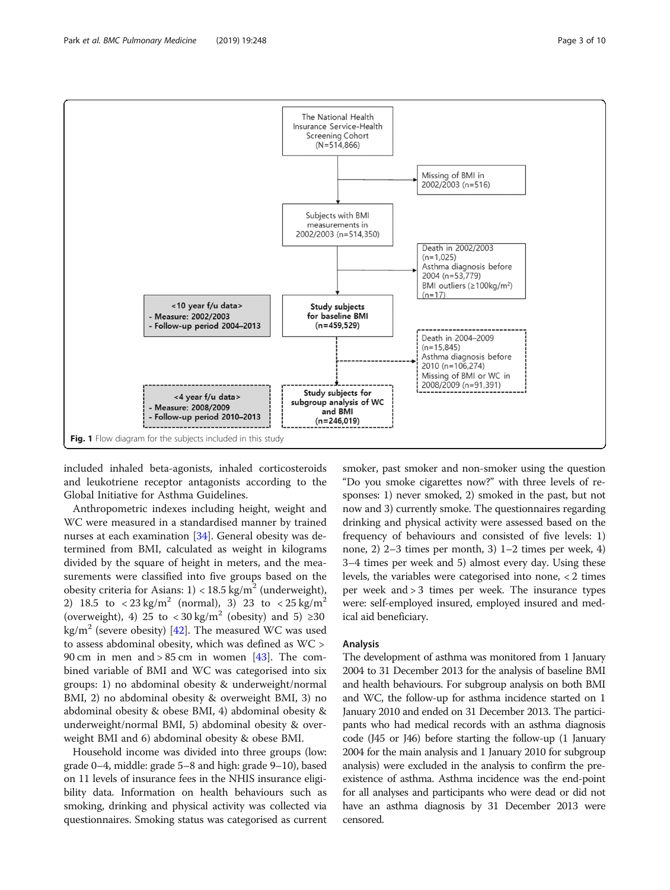included inhaled beta-agonists, inhaled corticosteroids and leukotriene receptor antagonists according to the Global Initiative for Asthma Guidelines.

Anthropometric indexes including height, weight and WC were measured in a standardised manner by trained nurses at each examination [[34](#page-9-0)]. General obesity was determined from BMI, calculated as weight in kilograms divided by the square of height in meters, and the measurements were classified into five groups based on the obesity criteria for Asians:  $1$ ) < 18.5 kg/m<sup>2</sup> (underweight), 2) 18.5 to  $\langle 23 \text{ kg/m}^2 \text{ (normal)}$ , 3) 23 to  $\langle 25 \text{ kg/m}^2 \text{)}$ (overweight), 4) 25 to  $\langle 30 \text{ kg/m}^2 \rangle$  (obesity) and 5) ≥30 kg/m<sup>2</sup> (severe obesity) [\[42\]](#page-9-0). The measured WC was used to assess abdominal obesity, which was defined as WC > 90 cm in men and  $> 85$  cm in women [[43](#page-9-0)]. The combined variable of BMI and WC was categorised into six groups: 1) no abdominal obesity & underweight/normal BMI, 2) no abdominal obesity & overweight BMI, 3) no abdominal obesity & obese BMI, 4) abdominal obesity & underweight/normal BMI, 5) abdominal obesity & overweight BMI and 6) abdominal obesity & obese BMI.

Household income was divided into three groups (low: grade 0–4, middle: grade 5–8 and high: grade 9–10), based on 11 levels of insurance fees in the NHIS insurance eligibility data. Information on health behaviours such as smoking, drinking and physical activity was collected via questionnaires. Smoking status was categorised as current

smoker, past smoker and non-smoker using the question "Do you smoke cigarettes now?" with three levels of responses: 1) never smoked, 2) smoked in the past, but not now and 3) currently smoke. The questionnaires regarding drinking and physical activity were assessed based on the frequency of behaviours and consisted of five levels: 1) none, 2) 2–3 times per month, 3) 1–2 times per week, 4) 3–4 times per week and 5) almost every day. Using these levels, the variables were categorised into none, < 2 times per week and > 3 times per week. The insurance types were: self-employed insured, employed insured and medical aid beneficiary.

# Analysis

The development of asthma was monitored from 1 January 2004 to 31 December 2013 for the analysis of baseline BMI and health behaviours. For subgroup analysis on both BMI and WC, the follow-up for asthma incidence started on 1 January 2010 and ended on 31 December 2013. The participants who had medical records with an asthma diagnosis code (J45 or J46) before starting the follow-up (1 January 2004 for the main analysis and 1 January 2010 for subgroup analysis) were excluded in the analysis to confirm the preexistence of asthma. Asthma incidence was the end-point for all analyses and participants who were dead or did not have an asthma diagnosis by 31 December 2013 were censored.

<span id="page-2-0"></span>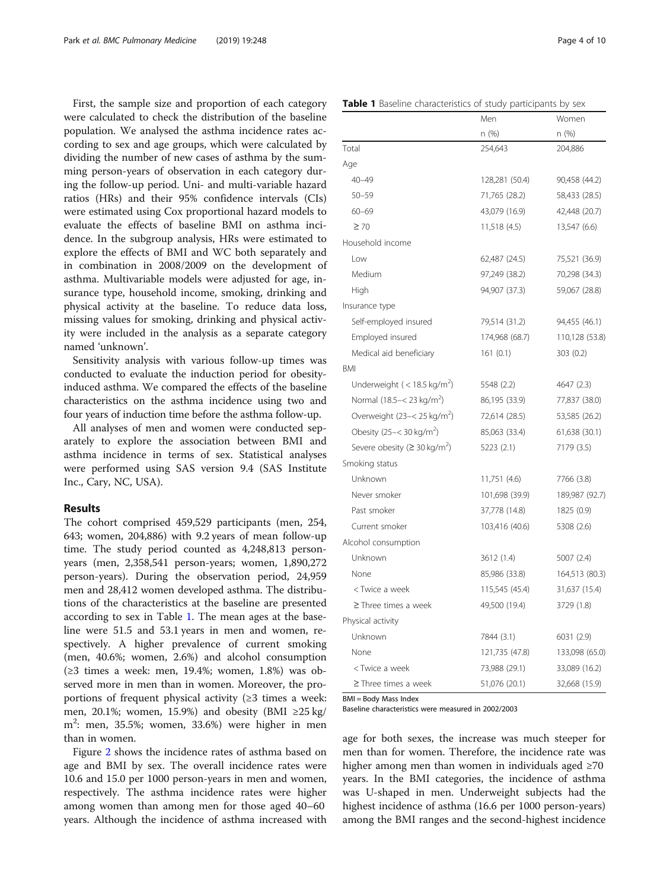First, the sample size and proportion of each category were calculated to check the distribution of the baseline population. We analysed the asthma incidence rates according to sex and age groups, which were calculated by dividing the number of new cases of asthma by the summing person-years of observation in each category during the follow-up period. Uni- and multi-variable hazard ratios (HRs) and their 95% confidence intervals (CIs) were estimated using Cox proportional hazard models to evaluate the effects of baseline BMI on asthma incidence. In the subgroup analysis, HRs were estimated to explore the effects of BMI and WC both separately and in combination in 2008/2009 on the development of asthma. Multivariable models were adjusted for age, insurance type, household income, smoking, drinking and physical activity at the baseline. To reduce data loss, missing values for smoking, drinking and physical activity were included in the analysis as a separate category named 'unknown'.

Sensitivity analysis with various follow-up times was conducted to evaluate the induction period for obesityinduced asthma. We compared the effects of the baseline characteristics on the asthma incidence using two and four years of induction time before the asthma follow-up.

All analyses of men and women were conducted separately to explore the association between BMI and asthma incidence in terms of sex. Statistical analyses were performed using SAS version 9.4 (SAS Institute Inc., Cary, NC, USA).

# Results

The cohort comprised 459,529 participants (men, 254, 643; women, 204,886) with 9.2 years of mean follow-up time. The study period counted as 4,248,813 personyears (men, 2,358,541 person-years; women, 1,890,272 person-years). During the observation period, 24,959 men and 28,412 women developed asthma. The distributions of the characteristics at the baseline are presented according to sex in Table 1. The mean ages at the baseline were 51.5 and 53.1 years in men and women, respectively. A higher prevalence of current smoking (men, 40.6%; women, 2.6%) and alcohol consumption (≥3 times a week: men, 19.4%; women, 1.8%) was observed more in men than in women. Moreover, the proportions of frequent physical activity (≥3 times a week: men, 20.1%; women, 15.9%) and obesity (BMI ≥25 kg/ m2 : men, 35.5%; women, 33.6%) were higher in men than in women.

Figure [2](#page-4-0) shows the incidence rates of asthma based on age and BMI by sex. The overall incidence rates were 10.6 and 15.0 per 1000 person-years in men and women, respectively. The asthma incidence rates were higher among women than among men for those aged 40–60 years. Although the incidence of asthma increased with

|                                                                                  | Men            | Women          |
|----------------------------------------------------------------------------------|----------------|----------------|
|                                                                                  | n(%)           | n (%)          |
| Total                                                                            | 254,643        | 204,886        |
| Age                                                                              |                |                |
| $40 - 49$                                                                        | 128,281 (50.4) | 90,458 (44.2)  |
| $50 - 59$                                                                        | 71,765 (28.2)  | 58,433 (28.5)  |
| $60 - 69$                                                                        | 43,079 (16.9)  | 42,448 (20.7)  |
| $\geq 70$                                                                        | 11,518(4.5)    | 13,547 (6.6)   |
| Household income                                                                 |                |                |
| Low                                                                              | 62,487 (24.5)  | 75,521 (36.9)  |
| Medium                                                                           | 97,249 (38.2)  | 70,298 (34.3)  |
| High                                                                             | 94,907 (37.3)  | 59,067 (28.8)  |
| Insurance type                                                                   |                |                |
| Self-employed insured                                                            | 79,514 (31.2)  | 94,455 (46.1)  |
| Employed insured                                                                 | 174,968 (68.7) | 110,128 (53.8) |
| Medical aid beneficiary                                                          | 161(0.1)       | 303 (0.2)      |
| BMI                                                                              |                |                |
| Underweight ( $<$ 18.5 kg/m <sup>2</sup> )                                       | 5548 (2.2)     | 4647 (2.3)     |
| Normal (18.5 - < 23 kg/m <sup>2</sup> )                                          | 86,195 (33.9)  | 77,837 (38.0)  |
| Overweight (23-< 25 kg/m <sup>2</sup> )                                          | 72,614 (28.5)  | 53,585 (26.2)  |
| Obesity (25 - < 30 kg/m <sup>2</sup> )                                           | 85,063 (33.4)  | 61,638 (30.1)  |
| Severe obesity ( $\geq$ 30 kg/m <sup>2</sup> )                                   | 5223(2.1)      | 7179 (3.5)     |
| Smoking status                                                                   |                |                |
| Unknown                                                                          | 11,751 (4.6)   | 7766 (3.8)     |
| Never smoker                                                                     | 101,698 (39.9) | 189,987 (92.7) |
| Past smoker                                                                      | 37,778 (14.8)  | 1825 (0.9)     |
| Current smoker                                                                   | 103,416 (40.6) | 5308 (2.6)     |
| Alcohol consumption                                                              |                |                |
| Unknown                                                                          | 3612 (1.4)     | 5007 (2.4)     |
| None                                                                             | 85,986 (33.8)  | 164,513 (80.3) |
| <twice a="" td="" week<=""><td>115,545 (45.4)</td><td>31,637 (15.4)</td></twice> | 115,545 (45.4) | 31,637 (15.4)  |
| $\geq$ Three times a week                                                        | 49,500 (19.4)  | 3729 (1.8)     |
| Physical activity                                                                |                |                |
| Unknown                                                                          | 7844 (3.1)     | 6031 (2.9)     |
| None                                                                             | 121,735 (47.8) | 133,098 (65.0) |

BMI = Body Mass Index

Baseline characteristics were measured in 2002/2003

age for both sexes, the increase was much steeper for men than for women. Therefore, the incidence rate was higher among men than women in individuals aged ≥70 years. In the BMI categories, the incidence of asthma was U-shaped in men. Underweight subjects had the highest incidence of asthma (16.6 per 1000 person-years) among the BMI ranges and the second-highest incidence

< Twice a week 73,988 (29.1) 33,089 (16.2) ≥ Three times a week 51,076 (20.1) 32,668 (15.9)

#### Table 1 Baseline characteristics of study participants by sex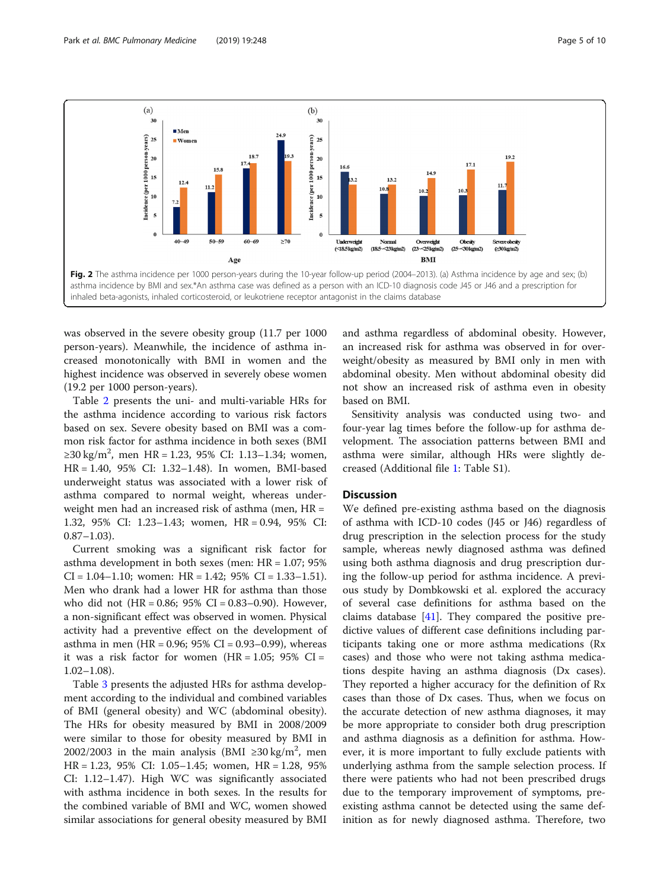<span id="page-4-0"></span>

was observed in the severe obesity group (11.7 per 1000 person-years). Meanwhile, the incidence of asthma increased monotonically with BMI in women and the highest incidence was observed in severely obese women (19.2 per 1000 person-years).

Table [2](#page-5-0) presents the uni- and multi-variable HRs for the asthma incidence according to various risk factors based on sex. Severe obesity based on BMI was a common risk factor for asthma incidence in both sexes (BMI ≥30 kg/m<sup>2</sup>, men HR = 1.23, 95% CI: 1.13–1.34; women, HR = 1.40, 95% CI: 1.32–1.48). In women, BMI-based underweight status was associated with a lower risk of asthma compared to normal weight, whereas underweight men had an increased risk of asthma (men, HR = 1.32, 95% CI: 1.23–1.43; women, HR = 0.94, 95% CI:  $0.87-1.03$ ).

Current smoking was a significant risk factor for asthma development in both sexes (men: HR = 1.07; 95%  $CI = 1.04 - 1.10$ ; women: HR = 1.42; 95%  $CI = 1.33 - 1.51$ . Men who drank had a lower HR for asthma than those who did not  $(HR = 0.86; 95\% \text{ CI} = 0.83-0.90)$ . However, a non-significant effect was observed in women. Physical activity had a preventive effect on the development of asthma in men (HR = 0.96; 95% CI = 0.93–0.99), whereas it was a risk factor for women  $(HR = 1.05; 95\% \text{ CI} =$ 1.02–1.08).

Table [3](#page-6-0) presents the adjusted HRs for asthma development according to the individual and combined variables of BMI (general obesity) and WC (abdominal obesity). The HRs for obesity measured by BMI in 2008/2009 were similar to those for obesity measured by BMI in 2002/2003 in the main analysis (BMI ≥30 kg/m<sup>2</sup>, men HR = 1.23, 95% CI: 1.05–1.45; women, HR = 1.28, 95% CI: 1.12–1.47). High WC was significantly associated with asthma incidence in both sexes. In the results for the combined variable of BMI and WC, women showed similar associations for general obesity measured by BMI and asthma regardless of abdominal obesity. However, an increased risk for asthma was observed in for overweight/obesity as measured by BMI only in men with abdominal obesity. Men without abdominal obesity did not show an increased risk of asthma even in obesity based on BMI.

Sensitivity analysis was conducted using two- and four-year lag times before the follow-up for asthma development. The association patterns between BMI and asthma were similar, although HRs were slightly decreased (Additional file [1](#page-8-0): Table S1).

## **Discussion**

We defined pre-existing asthma based on the diagnosis of asthma with ICD-10 codes (J45 or J46) regardless of drug prescription in the selection process for the study sample, whereas newly diagnosed asthma was defined using both asthma diagnosis and drug prescription during the follow-up period for asthma incidence. A previous study by Dombkowski et al. explored the accuracy of several case definitions for asthma based on the claims database [[41\]](#page-9-0). They compared the positive predictive values of different case definitions including participants taking one or more asthma medications (Rx cases) and those who were not taking asthma medications despite having an asthma diagnosis (Dx cases). They reported a higher accuracy for the definition of Rx cases than those of Dx cases. Thus, when we focus on the accurate detection of new asthma diagnoses, it may be more appropriate to consider both drug prescription and asthma diagnosis as a definition for asthma. However, it is more important to fully exclude patients with underlying asthma from the sample selection process. If there were patients who had not been prescribed drugs due to the temporary improvement of symptoms, preexisting asthma cannot be detected using the same definition as for newly diagnosed asthma. Therefore, two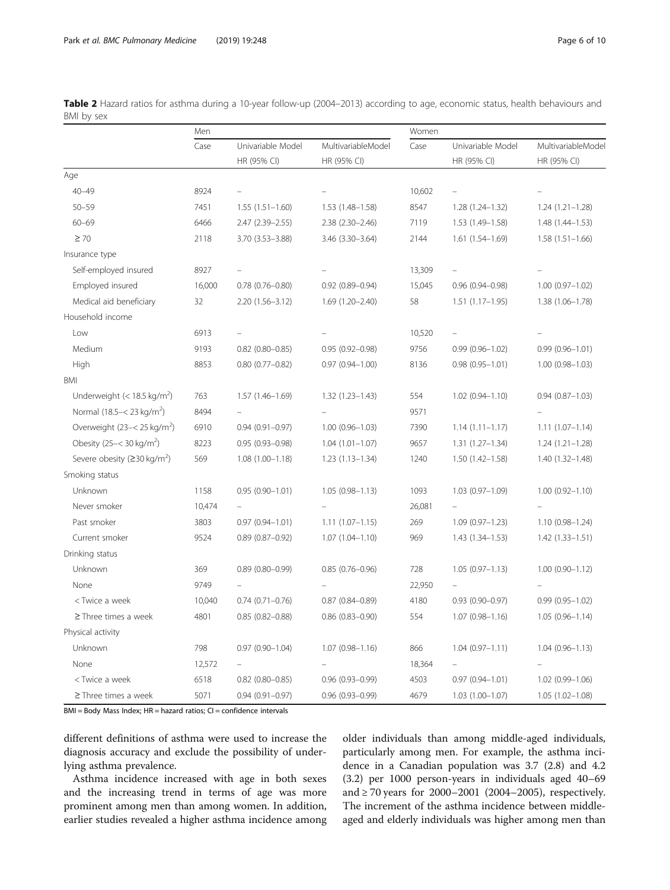|                                                                                                                                                                                                                                           | Men    |                                  |                                   | Women  |                                  |                                   |
|-------------------------------------------------------------------------------------------------------------------------------------------------------------------------------------------------------------------------------------------|--------|----------------------------------|-----------------------------------|--------|----------------------------------|-----------------------------------|
|                                                                                                                                                                                                                                           | Case   | Univariable Model<br>HR (95% CI) | MultivariableModel<br>HR (95% CI) | Case   | Univariable Model<br>HR (95% CI) | MultivariableModel<br>HR (95% CI) |
|                                                                                                                                                                                                                                           |        |                                  |                                   |        |                                  |                                   |
| Age                                                                                                                                                                                                                                       |        |                                  |                                   |        |                                  |                                   |
| $40 - 49$                                                                                                                                                                                                                                 | 8924   | $\equiv$                         |                                   | 10,602 | $\equiv$                         |                                   |
| $50 - 59$                                                                                                                                                                                                                                 | 7451   | $1.55(1.51 - 1.60)$              | 1.53 (1.48-1.58)                  | 8547   | 1.28 (1.24-1.32)                 | $1.24(1.21 - 1.28)$               |
| $60 - 69$                                                                                                                                                                                                                                 | 6466   | 2.47 (2.39 - 2.55)               | $2.38(2.30 - 2.46)$               | 7119   | 1.53 (1.49-1.58)                 | 1.48 (1.44-1.53)                  |
| $\geq 70$                                                                                                                                                                                                                                 | 2118   | 3.70 (3.53-3.88)                 | 3.46 (3.30-3.64)                  | 2144   | $1.61(1.54 - 1.69)$              | $1.58(1.51 - 1.66)$               |
| Insurance type                                                                                                                                                                                                                            |        |                                  |                                   |        |                                  |                                   |
| Self-employed insured                                                                                                                                                                                                                     | 8927   |                                  |                                   | 13,309 |                                  |                                   |
| Employed insured                                                                                                                                                                                                                          | 16,000 | $0.78$ $(0.76 - 0.80)$           | $0.92$ $(0.89 - 0.94)$            | 15,045 | $0.96(0.94 - 0.98)$              | $1.00(0.97 - 1.02)$               |
| Medical aid beneficiary                                                                                                                                                                                                                   | 32     | 2.20 (1.56-3.12)                 | $1.69(1.20 - 2.40)$               | 58     | $1.51(1.17-1.95)$                | 1.38 (1.06-1.78)                  |
| Household income                                                                                                                                                                                                                          |        |                                  |                                   |        |                                  |                                   |
| Low                                                                                                                                                                                                                                       | 6913   | $\equiv$                         |                                   | 10,520 |                                  |                                   |
| Medium                                                                                                                                                                                                                                    | 9193   | $0.82$ (0.80-0.85)               | $0.95(0.92 - 0.98)$               | 9756   | $0.99(0.96 - 1.02)$              | $0.99(0.96 - 1.01)$               |
| High                                                                                                                                                                                                                                      | 8853   | $0.80$ $(0.77 - 0.82)$           | $0.97(0.94 - 1.00)$               | 8136   | $0.98(0.95 - 1.01)$              | $1.00(0.98 - 1.03)$               |
| BMI                                                                                                                                                                                                                                       |        |                                  |                                   |        |                                  |                                   |
| Underweight (< 18.5 kg/m <sup>2</sup> )                                                                                                                                                                                                   | 763    | 1.57 (1.46-1.69)                 | $1.32(1.23 - 1.43)$               | 554    | $1.02$ (0.94-1.10)               | $0.94(0.87 - 1.03)$               |
| Normal (18.5 - < 23 kg/m <sup>2</sup> )                                                                                                                                                                                                   | 8494   |                                  |                                   | 9571   |                                  |                                   |
| Overweight (23-< 25 kg/m <sup>2</sup> )                                                                                                                                                                                                   | 6910   | $0.94(0.91 - 0.97)$              | $1.00(0.96 - 1.03)$               | 7390   | $1.14(1.11 - 1.17)$              | $1.11(1.07 - 1.14)$               |
| Obesity (25 - < 30 kg/m <sup>2</sup> )                                                                                                                                                                                                    | 8223   | $0.95(0.93 - 0.98)$              | $1.04(1.01 - 1.07)$               | 9657   | $1.31(1.27 - 1.34)$              | $1.24(1.21 - 1.28)$               |
| Severe obesity ( $\geq$ 30 kg/m <sup>2</sup> )                                                                                                                                                                                            | 569    | $1.08(1.00 - 1.18)$              | $1.23(1.13 - 1.34)$               | 1240   | $1.50(1.42 - 1.58)$              | 1.40 (1.32-1.48)                  |
| Smoking status                                                                                                                                                                                                                            |        |                                  |                                   |        |                                  |                                   |
| Unknown                                                                                                                                                                                                                                   | 1158   | $0.95(0.90 - 1.01)$              | $1.05(0.98 - 1.13)$               | 1093   | $1.03(0.97 - 1.09)$              | $1.00(0.92 - 1.10)$               |
| Never smoker                                                                                                                                                                                                                              | 10,474 |                                  |                                   | 26,081 |                                  |                                   |
| Past smoker                                                                                                                                                                                                                               | 3803   | $0.97(0.94 - 1.01)$              | $1.11(1.07 - 1.15)$               | 269    | $1.09(0.97 - 1.23)$              | 1.10 (0.98-1.24)                  |
| Current smoker                                                                                                                                                                                                                            | 9524   | $0.89$ (0.87-0.92)               | $1.07(1.04 - 1.10)$               | 969    | $1.43(1.34 - 1.53)$              | $1.42(1.33 - 1.51)$               |
| Drinking status                                                                                                                                                                                                                           |        |                                  |                                   |        |                                  |                                   |
| Unknown                                                                                                                                                                                                                                   | 369    | $0.89$ $(0.80 - 0.99)$           | $0.85(0.76 - 0.96)$               | 728    | $1.05(0.97 - 1.13)$              | $1.00(0.90 - 1.12)$               |
| None                                                                                                                                                                                                                                      | 9749   |                                  |                                   | 22,950 |                                  |                                   |
| <twice a="" td="" week<=""><td>10,040</td><td><math>0.74(0.71 - 0.76)</math></td><td><math>0.87</math> <math>(0.84 - 0.89)</math></td><td>4180</td><td><math>0.93(0.90 - 0.97)</math></td><td><math>0.99(0.95 - 1.02)</math></td></twice> | 10,040 | $0.74(0.71 - 0.76)$              | $0.87$ $(0.84 - 0.89)$            | 4180   | $0.93(0.90 - 0.97)$              | $0.99(0.95 - 1.02)$               |
| $\geq$ Three times a week                                                                                                                                                                                                                 | 4801   | $0.85(0.82 - 0.88)$              | $0.86$ $(0.83 - 0.90)$            | 554    | $1.07(0.98 - 1.16)$              | $1.05(0.96 - 1.14)$               |
| Physical activity                                                                                                                                                                                                                         |        |                                  |                                   |        |                                  |                                   |
| Unknown                                                                                                                                                                                                                                   | 798    | $0.97(0.90 - 1.04)$              | $1.07(0.98 - 1.16)$               | 866    | $1.04(0.97 - 1.11)$              | $1.04(0.96 - 1.13)$               |
| None                                                                                                                                                                                                                                      | 12,572 |                                  |                                   | 18,364 |                                  |                                   |
| <twice a="" td="" week<=""><td>6518</td><td><math>0.82</math> (0.80-0.85)</td><td><math>0.96(0.93 - 0.99)</math></td><td>4503</td><td><math>0.97(0.94 - 1.01)</math></td><td>1.02 (0.99-1.06)</td></twice>                                | 6518   | $0.82$ (0.80-0.85)               | $0.96(0.93 - 0.99)$               | 4503   | $0.97(0.94 - 1.01)$              | 1.02 (0.99-1.06)                  |
| $\geq$ Three times a week                                                                                                                                                                                                                 | 5071   | $0.94(0.91 - 0.97)$              | $0.96(0.93 - 0.99)$               | 4679   | 1.03 (1.00-1.07)                 | $1.05(1.02 - 1.08)$               |

<span id="page-5-0"></span>Table 2 Hazard ratios for asthma during a 10-year follow-up (2004–2013) according to age, economic status, health behaviours and BMI by sex

 $\overline{BMI} = \overline{Body}$  Mass Index;  $HR =$  hazard ratios;  $CI =$  confidence intervals

different definitions of asthma were used to increase the diagnosis accuracy and exclude the possibility of underlying asthma prevalence.

Asthma incidence increased with age in both sexes and the increasing trend in terms of age was more prominent among men than among women. In addition, earlier studies revealed a higher asthma incidence among

older individuals than among middle-aged individuals, particularly among men. For example, the asthma incidence in a Canadian population was 3.7 (2.8) and 4.2 (3.2) per 1000 person-years in individuals aged 40–69 and ≥ 70 years for 2000–2001 (2004–2005), respectively. The increment of the asthma incidence between middleaged and elderly individuals was higher among men than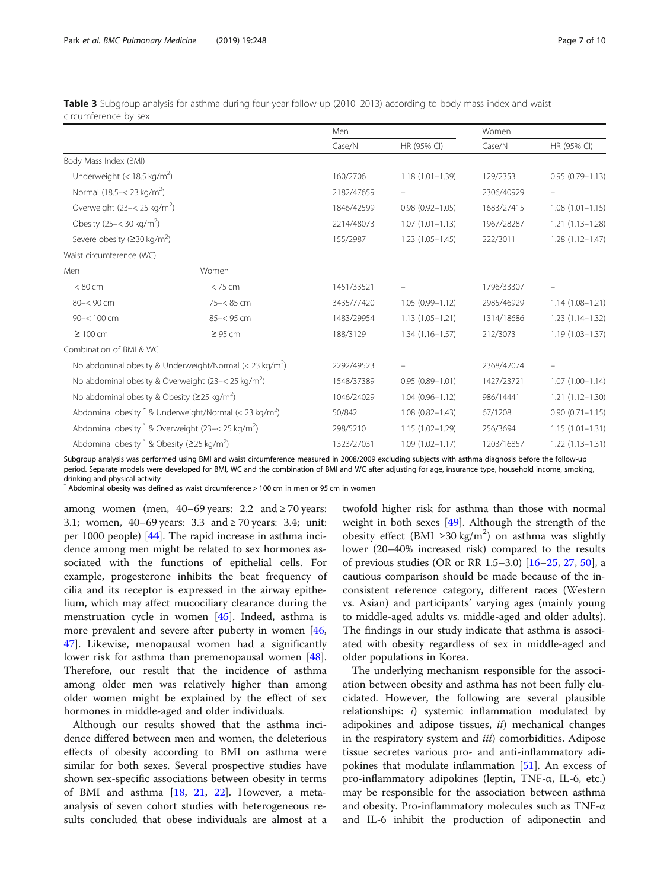|                                                                       |              | Men        |                     | Women      |                     |
|-----------------------------------------------------------------------|--------------|------------|---------------------|------------|---------------------|
|                                                                       |              | Case/N     | HR (95% CI)         | Case/N     | HR (95% CI)         |
| Body Mass Index (BMI)                                                 |              |            |                     |            |                     |
| Underweight $(< 18.5 \text{ kg/m}^2)$                                 |              | 160/2706   | $1.18(1.01 - 1.39)$ | 129/2353   | $0.95(0.79 - 1.13)$ |
| Normal (18.5 - < 23 kg/m <sup>2</sup> )                               |              | 2182/47659 |                     | 2306/40929 |                     |
| Overweight $(23 - < 25 \text{ kg/m}^2)$                               |              | 1846/42599 | $0.98(0.92 - 1.05)$ | 1683/27415 | $1.08(1.01 - 1.15)$ |
| Obesity $(25 - < 30 \text{ kg/m}^2)$                                  |              | 2214/48073 | $1.07(1.01 - 1.13)$ | 1967/28287 | $1.21(1.13 - 1.28)$ |
| Severe obesity ( $\geq$ 30 kg/m <sup>2</sup> )                        |              | 155/2987   | $1.23(1.05 - 1.45)$ | 222/3011   | $1.28(1.12 - 1.47)$ |
| Waist circumference (WC)                                              |              |            |                     |            |                     |
| Men                                                                   | Women        |            |                     |            |                     |
| < 80 cm                                                               | < 75 cm      | 1451/33521 |                     | 1796/33307 |                     |
| 80-< 90 cm                                                            | 75-<85 cm    | 3435/77420 | $1.05(0.99 - 1.12)$ | 2985/46929 | $1.14(1.08 - 1.21)$ |
| $90 - 100$ cm                                                         | $85 - 95$ cm | 1483/29954 | $1.13(1.05 - 1.21)$ | 1314/18686 | $1.23(1.14 - 1.32)$ |
| $\geq 100$ cm                                                         | $\geq$ 95 cm | 188/3129   | $1.34(1.16 - 1.57)$ | 212/3073   | $1.19(1.03 - 1.37)$ |
| Combination of BMI & WC                                               |              |            |                     |            |                     |
| No abdominal obesity & Underweight/Normal $(<$ 23 kg/m <sup>2</sup> ) |              | 2292/49523 |                     | 2368/42074 |                     |
| No abdominal obesity & Overweight (23-< 25 kg/m <sup>2</sup> )        |              | 1548/37389 | $0.95(0.89 - 1.01)$ | 1427/23721 | $1.07(1.00 - 1.14)$ |
| No abdominal obesity & Obesity ( $\geq$ 25 kg/m <sup>2</sup> )        |              | 1046/24029 | $1.04(0.96 - 1.12)$ | 986/14441  | $1.21(1.12 - 1.30)$ |
| Abdominal obesity $*$ & Underweight/Normal (< 23 kg/m <sup>2</sup> )  |              | 50/842     | $1.08(0.82 - 1.43)$ | 67/1208    | $0.90(0.71 - 1.15)$ |
| Abdominal obesity $*$ & Overweight (23-< 25 kg/m <sup>2</sup> )       |              | 298/5210   | $1.15(1.02 - 1.29)$ | 256/3694   | $1.15(1.01 - 1.31)$ |
| Abdominal obesity $*$ & Obesity ( $\geq$ 25 kg/m <sup>2</sup> )       |              | 1323/27031 | $1.09(1.02 - 1.17)$ | 1203/16857 | $1.22(1.13 - 1.31)$ |

<span id="page-6-0"></span>Table 3 Subgroup analysis for asthma during four-year follow-up (2010–2013) according to body mass index and waist circumference by sex

Subgroup analysis was performed using BMI and waist circumference measured in 2008/2009 excluding subjects with asthma diagnosis before the follow-up period. Separate models were developed for BMI, WC and the combination of BMI and WC after adjusting for age, insurance type, household income, smoking, drinking and physical activity

\* Abdominal obesity was defined as waist circumference > 100 cm in men or 95 cm in women

among women (men,  $40-69$  years: 2.2 and  $\geq 70$  years: 3.1; women, 40–69 years: 3.3 and ≥ 70 years: 3.4; unit: per 1000 people) [[44\]](#page-9-0). The rapid increase in asthma incidence among men might be related to sex hormones associated with the functions of epithelial cells. For example, progesterone inhibits the beat frequency of cilia and its receptor is expressed in the airway epithelium, which may affect mucociliary clearance during the menstruation cycle in women [[45\]](#page-9-0). Indeed, asthma is more prevalent and severe after puberty in women [[46](#page-9-0), [47\]](#page-9-0). Likewise, menopausal women had a significantly lower risk for asthma than premenopausal women [\[48](#page-9-0)]. Therefore, our result that the incidence of asthma among older men was relatively higher than among older women might be explained by the effect of sex hormones in middle-aged and older individuals.

Although our results showed that the asthma incidence differed between men and women, the deleterious effects of obesity according to BMI on asthma were similar for both sexes. Several prospective studies have shown sex-specific associations between obesity in terms of BMI and asthma [\[18](#page-8-0), [21](#page-8-0), [22](#page-8-0)]. However, a metaanalysis of seven cohort studies with heterogeneous results concluded that obese individuals are almost at a twofold higher risk for asthma than those with normal weight in both sexes [\[49](#page-9-0)]. Although the strength of the obesity effect (BMI ≥30 kg/m<sup>2</sup>) on asthma was slightly lower (20–40% increased risk) compared to the results of previous studies (OR or RR 1.5–3.0)  $[16–25, 27, 50]$  $[16–25, 27, 50]$  $[16–25, 27, 50]$  $[16–25, 27, 50]$  $[16–25, 27, 50]$  $[16–25, 27, 50]$  $[16–25, 27, 50]$ , a cautious comparison should be made because of the inconsistent reference category, different races (Western vs. Asian) and participants' varying ages (mainly young to middle-aged adults vs. middle-aged and older adults). The findings in our study indicate that asthma is associated with obesity regardless of sex in middle-aged and older populations in Korea.

The underlying mechanism responsible for the association between obesity and asthma has not been fully elucidated. However, the following are several plausible relationships: i) systemic inflammation modulated by adipokines and adipose tissues, ii) mechanical changes in the respiratory system and *iii*) comorbidities. Adipose tissue secretes various pro- and anti-inflammatory adipokines that modulate inflammation [\[51\]](#page-9-0). An excess of pro-inflammatory adipokines (leptin, TNF-α, IL-6, etc.) may be responsible for the association between asthma and obesity. Pro-inflammatory molecules such as TNF-α and IL-6 inhibit the production of adiponectin and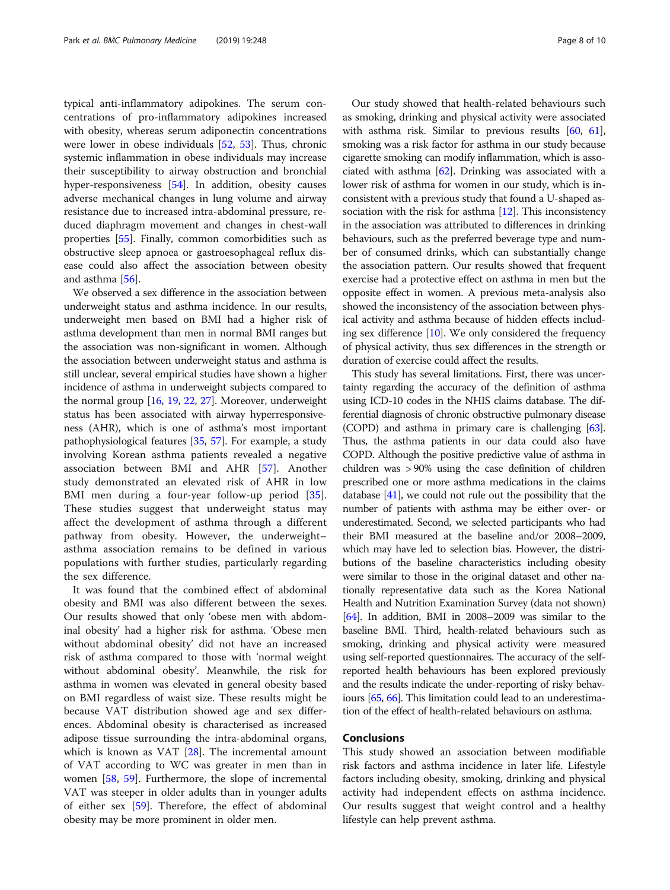typical anti-inflammatory adipokines. The serum concentrations of pro-inflammatory adipokines increased with obesity, whereas serum adiponectin concentrations were lower in obese individuals [\[52,](#page-9-0) [53](#page-9-0)]. Thus, chronic systemic inflammation in obese individuals may increase their susceptibility to airway obstruction and bronchial hyper-responsiveness [[54](#page-9-0)]. In addition, obesity causes adverse mechanical changes in lung volume and airway resistance due to increased intra-abdominal pressure, reduced diaphragm movement and changes in chest-wall properties [\[55](#page-9-0)]. Finally, common comorbidities such as obstructive sleep apnoea or gastroesophageal reflux disease could also affect the association between obesity and asthma [\[56\]](#page-9-0).

We observed a sex difference in the association between underweight status and asthma incidence. In our results, underweight men based on BMI had a higher risk of asthma development than men in normal BMI ranges but the association was non-significant in women. Although the association between underweight status and asthma is still unclear, several empirical studies have shown a higher incidence of asthma in underweight subjects compared to the normal group [\[16,](#page-8-0) [19](#page-8-0), [22](#page-8-0), [27\]](#page-8-0). Moreover, underweight status has been associated with airway hyperresponsiveness (AHR), which is one of asthma's most important pathophysiological features [\[35,](#page-9-0) [57\]](#page-9-0). For example, a study involving Korean asthma patients revealed a negative association between BMI and AHR [[57\]](#page-9-0). Another study demonstrated an elevated risk of AHR in low BMI men during a four-year follow-up period [\[35](#page-9-0)]. These studies suggest that underweight status may affect the development of asthma through a different pathway from obesity. However, the underweight– asthma association remains to be defined in various populations with further studies, particularly regarding the sex difference.

It was found that the combined effect of abdominal obesity and BMI was also different between the sexes. Our results showed that only 'obese men with abdominal obesity' had a higher risk for asthma. 'Obese men without abdominal obesity' did not have an increased risk of asthma compared to those with 'normal weight without abdominal obesity'. Meanwhile, the risk for asthma in women was elevated in general obesity based on BMI regardless of waist size. These results might be because VAT distribution showed age and sex differences. Abdominal obesity is characterised as increased adipose tissue surrounding the intra-abdominal organs, which is known as VAT [[28\]](#page-8-0). The incremental amount of VAT according to WC was greater in men than in women [[58,](#page-9-0) [59\]](#page-9-0). Furthermore, the slope of incremental VAT was steeper in older adults than in younger adults of either sex [\[59](#page-9-0)]. Therefore, the effect of abdominal obesity may be more prominent in older men.

Our study showed that health-related behaviours such as smoking, drinking and physical activity were associated with asthma risk. Similar to previous results [\[60](#page-9-0), [61](#page-9-0)], smoking was a risk factor for asthma in our study because cigarette smoking can modify inflammation, which is associated with asthma  $[62]$ . Drinking was associated with a lower risk of asthma for women in our study, which is inconsistent with a previous study that found a U-shaped association with the risk for asthma  $[12]$ . This inconsistency in the association was attributed to differences in drinking behaviours, such as the preferred beverage type and number of consumed drinks, which can substantially change the association pattern. Our results showed that frequent exercise had a protective effect on asthma in men but the opposite effect in women. A previous meta-analysis also showed the inconsistency of the association between physical activity and asthma because of hidden effects including sex difference [[10](#page-8-0)]. We only considered the frequency of physical activity, thus sex differences in the strength or duration of exercise could affect the results.

This study has several limitations. First, there was uncertainty regarding the accuracy of the definition of asthma using ICD-10 codes in the NHIS claims database. The differential diagnosis of chronic obstructive pulmonary disease (COPD) and asthma in primary care is challenging [\[63](#page-9-0)]. Thus, the asthma patients in our data could also have COPD. Although the positive predictive value of asthma in children was > 90% using the case definition of children prescribed one or more asthma medications in the claims database [\[41\]](#page-9-0), we could not rule out the possibility that the number of patients with asthma may be either over- or underestimated. Second, we selected participants who had their BMI measured at the baseline and/or 2008–2009, which may have led to selection bias. However, the distributions of the baseline characteristics including obesity were similar to those in the original dataset and other nationally representative data such as the Korea National Health and Nutrition Examination Survey (data not shown) [[64](#page-9-0)]. In addition, BMI in 2008–2009 was similar to the baseline BMI. Third, health-related behaviours such as smoking, drinking and physical activity were measured using self-reported questionnaires. The accuracy of the selfreported health behaviours has been explored previously and the results indicate the under-reporting of risky behaviours [[65](#page-9-0), [66](#page-9-0)]. This limitation could lead to an underestimation of the effect of health-related behaviours on asthma.

# Conclusions

This study showed an association between modifiable risk factors and asthma incidence in later life. Lifestyle factors including obesity, smoking, drinking and physical activity had independent effects on asthma incidence. Our results suggest that weight control and a healthy lifestyle can help prevent asthma.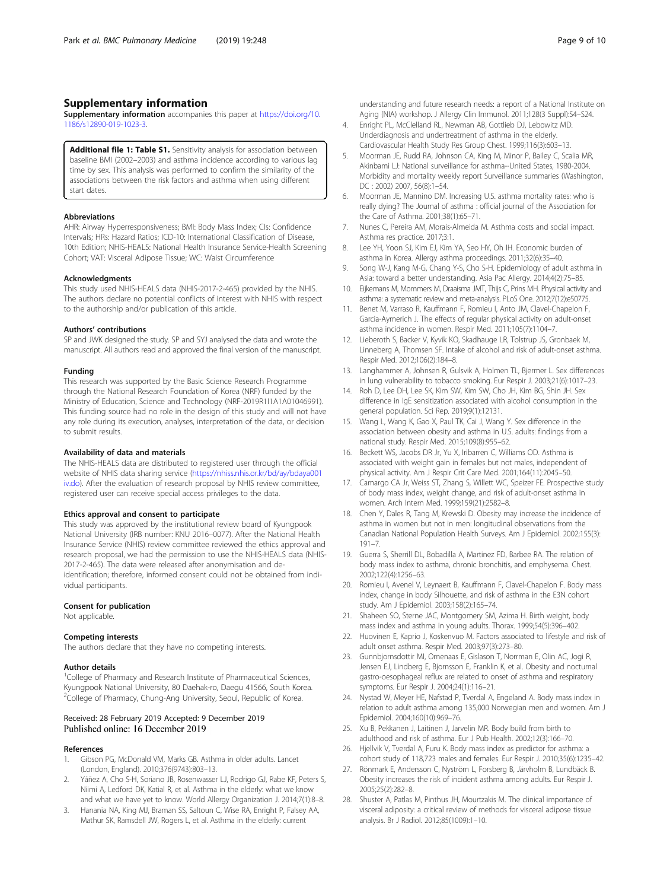# <span id="page-8-0"></span>Supplementary information

Supplementary information accompanies this paper at [https://doi.org/10.](https://doi.org/10.1186/s12890-019-1023-3) [1186/s12890-019-1023-3.](https://doi.org/10.1186/s12890-019-1023-3)

Additional file 1: Table S1. Sensitivity analysis for association between baseline BMI (2002–2003) and asthma incidence according to various lag time by sex. This analysis was performed to confirm the similarity of the associations between the risk factors and asthma when using different start dates.

#### Abbreviations

AHR: Airway Hyperresponsiveness; BMI: Body Mass Index; CIs: Confidence Intervals; HRs: Hazard Ratios; ICD-10: International Classification of Disease, 10th Edition; NHIS-HEALS: National Health Insurance Service-Health Screening Cohort; VAT: Visceral Adipose Tissue; WC: Waist Circumference

### Acknowledgments

This study used NHIS-HEALS data (NHIS-2017-2-465) provided by the NHIS. The authors declare no potential conflicts of interest with NHIS with respect to the authorship and/or publication of this article.

## Authors' contributions

SP and JWK designed the study. SP and SYJ analysed the data and wrote the manuscript. All authors read and approved the final version of the manuscript.

## Funding

This research was supported by the Basic Science Research Programme through the National Research Foundation of Korea (NRF) funded by the Ministry of Education, Science and Technology (NRF-2019R1I1A1A01046991). This funding source had no role in the design of this study and will not have any role during its execution, analyses, interpretation of the data, or decision to submit results.

#### Availability of data and materials

The NHIS-HEALS data are distributed to registered user through the official website of NHIS data sharing service [\(https://nhiss.nhis.or.kr/bd/ay/bdaya001](https://nhiss.nhis.or.kr/bd/ay/bdaya001iv.do) [iv.do\)](https://nhiss.nhis.or.kr/bd/ay/bdaya001iv.do). After the evaluation of research proposal by NHIS review committee, registered user can receive special access privileges to the data.

## Ethics approval and consent to participate

This study was approved by the institutional review board of Kyungpook National University (IRB number: KNU 2016–0077). After the National Health Insurance Service (NHIS) review committee reviewed the ethics approval and research proposal, we had the permission to use the NHIS-HEALS data (NHIS-2017-2-465). The data were released after anonymisation and deidentification; therefore, informed consent could not be obtained from individual participants.

## Consent for publication

Not applicable.

#### Competing interests

The authors declare that they have no competing interests.

## Author details

<sup>1</sup>College of Pharmacy and Research Institute of Pharmaceutical Sciences, Kyungpook National University, 80 Daehak-ro, Daegu 41566, South Korea. <sup>2</sup>College of Pharmacy, Chung-Ang University, Seoul, Republic of Korea.

## Received: 28 February 2019 Accepted: 9 December 2019 Published online: 16 December 2019

#### References

- 1. Gibson PG, McDonald VM, Marks GB. Asthma in older adults. Lancet (London, England). 2010;376(9743):803–13.
- Yáñez A, Cho S-H, Soriano JB, Rosenwasser LJ, Rodrigo GJ, Rabe KF, Peters S, Niimi A, Ledford DK, Katial R, et al. Asthma in the elderly: what we know and what we have yet to know. World Allergy Organization J. 2014;7(1):8–8.
- 3. Hanania NA, King MJ, Braman SS, Saltoun C, Wise RA, Enright P, Falsey AA, Mathur SK, Ramsdell JW, Rogers L, et al. Asthma in the elderly: current

understanding and future research needs: a report of a National Institute on Aging (NIA) workshop. J Allergy Clin Immunol. 2011;128(3 Suppl):S4–S24.

- 4. Enright PL, McClelland RL, Newman AB, Gottlieb DJ, Lebowitz MD. Underdiagnosis and undertreatment of asthma in the elderly. Cardiovascular Health Study Res Group Chest. 1999;116(3):603–13.
- 5. Moorman JE, Rudd RA, Johnson CA, King M, Minor P, Bailey C, Scalia MR, Akinbami LJ: National surveillance for asthma--United States, 1980-2004. Morbidity and mortality weekly report Surveillance summaries (Washington, DC : 2002) 2007, 56(8):1–54.
- 6. Moorman JE, Mannino DM. Increasing U.S. asthma mortality rates: who is really dying? The Journal of asthma : official journal of the Association for the Care of Asthma. 2001;38(1):65–71.
- 7. Nunes C, Pereira AM, Morais-Almeida M. Asthma costs and social impact. Asthma res practice. 2017;3:1.
- 8. Lee YH, Yoon SJ, Kim EJ, Kim YA, Seo HY, Oh IH. Economic burden of asthma in Korea. Allergy asthma proceedings. 2011;32(6):35–40.
- 9. Song W-J, Kang M-G, Chang Y-S, Cho S-H. Epidemiology of adult asthma in Asia: toward a better understanding. Asia Pac Allergy. 2014;4(2):75–85.
- 10. Eijkemans M, Mommers M, Draaisma JMT, Thijs C, Prins MH. Physical activity and asthma: a systematic review and meta-analysis. PLoS One. 2012;7(12):e50775.
- 11. Benet M, Varraso R, Kauffmann F, Romieu I, Anto JM, Clavel-Chapelon F, Garcia-Aymerich J. The effects of regular physical activity on adult-onset asthma incidence in women. Respir Med. 2011;105(7):1104–7.
- 12. Lieberoth S, Backer V, Kyvik KO, Skadhauge LR, Tolstrup JS, Gronbaek M, Linneberg A, Thomsen SF. Intake of alcohol and risk of adult-onset asthma. Respir Med. 2012;106(2):184–8.
- 13. Langhammer A, Johnsen R, Gulsvik A, Holmen TL, Biermer L, Sex differences in lung vulnerability to tobacco smoking. Eur Respir J. 2003;21(6):1017–23.
- 14. Roh D, Lee DH, Lee SK, Kim SW, Kim SW, Cho JH, Kim BG, Shin JH. Sex difference in IgE sensitization associated with alcohol consumption in the general population. Sci Rep. 2019;9(1):12131.
- 15. Wang L, Wang K, Gao X, Paul TK, Cai J, Wang Y. Sex difference in the association between obesity and asthma in U.S. adults: findings from a national study. Respir Med. 2015;109(8):955–62.
- 16. Beckett WS, Jacobs DR Jr, Yu X, Iribarren C, Williams OD. Asthma is associated with weight gain in females but not males, independent of physical activity. Am J Respir Crit Care Med. 2001;164(11):2045–50.
- 17. Camargo CA Jr, Weiss ST, Zhang S, Willett WC, Speizer FE. Prospective study of body mass index, weight change, and risk of adult-onset asthma in women. Arch Intern Med. 1999;159(21):2582–8.
- 18. Chen Y, Dales R, Tang M, Krewski D. Obesity may increase the incidence of asthma in women but not in men: longitudinal observations from the Canadian National Population Health Surveys. Am J Epidemiol. 2002;155(3): 191–7.
- 19. Guerra S, Sherrill DL, Bobadilla A, Martinez FD, Barbee RA. The relation of body mass index to asthma, chronic bronchitis, and emphysema. Chest. 2002;122(4):1256–63.
- 20. Romieu I, Avenel V, Leynaert B, Kauffmann F, Clavel-Chapelon F. Body mass index, change in body Silhouette, and risk of asthma in the E3N cohort study. Am J Epidemiol. 2003;158(2):165–74.
- 21. Shaheen SO, Sterne JAC, Montgomery SM, Azima H. Birth weight, body mass index and asthma in young adults. Thorax. 1999;54(5):396–402.
- 22. Huovinen E, Kaprio J, Koskenvuo M. Factors associated to lifestyle and risk of adult onset asthma. Respir Med. 2003;97(3):273–80.
- 23. Gunnbjornsdottir MI, Omenaas E, Gislason T, Norrman E, Olin AC, Jogi R, Jensen EJ, Lindberg E, Bjornsson E, Franklin K, et al. Obesity and nocturnal gastro-oesophageal reflux are related to onset of asthma and respiratory symptoms. Eur Respir J. 2004;24(1):116–21.
- 24. Nystad W, Meyer HE, Nafstad P, Tverdal A, Engeland A. Body mass index in relation to adult asthma among 135,000 Norwegian men and women. Am J Epidemiol. 2004;160(10):969–76.
- 25. Xu B, Pekkanen J, Laitinen J, Jarvelin MR. Body build from birth to adulthood and risk of asthma. Eur J Pub Health. 2002;12(3):166–70.
- 26. Hjellvik V, Tverdal A, Furu K. Body mass index as predictor for asthma: a cohort study of 118,723 males and females. Eur Respir J. 2010;35(6):1235–42.
- 27. Rönmark E, Andersson C, Nyström L, Forsberg B, Järvholm B, Lundbäck B. Obesity increases the risk of incident asthma among adults. Eur Respir J. 2005;25(2):282–8.
- 28. Shuster A, Patlas M, Pinthus JH, Mourtzakis M. The clinical importance of visceral adiposity: a critical review of methods for visceral adipose tissue analysis. Br J Radiol. 2012;85(1009):1–10.